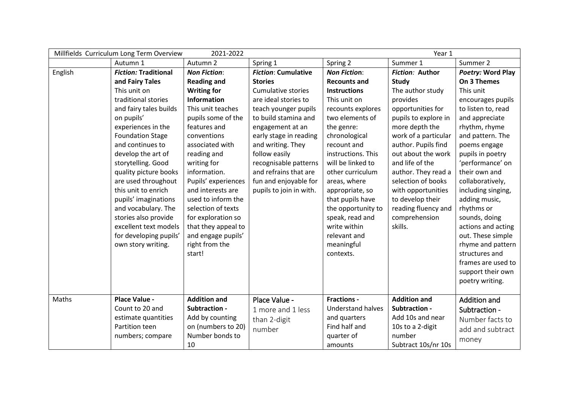| Millfields Curriculum Long Term Overview<br>2021-2022<br>Year 1 |                             |                     |                            |                          |                      |                    |
|-----------------------------------------------------------------|-----------------------------|---------------------|----------------------------|--------------------------|----------------------|--------------------|
|                                                                 | Autumn 1                    | Autumn 2            | Spring 1                   | Spring 2                 | Summer 1             | Summer 2           |
| English                                                         | <b>Fiction: Traditional</b> | <b>Non Fiction:</b> | <b>Fiction: Cumulative</b> | <b>Non Fiction:</b>      | Fiction: Author      | Poetry: Word Play  |
|                                                                 | and Fairy Tales             | <b>Reading and</b>  | <b>Stories</b>             | <b>Recounts and</b>      | <b>Study</b>         | On 3 Themes        |
|                                                                 | This unit on                | <b>Writing for</b>  | <b>Cumulative stories</b>  | <b>Instructions</b>      | The author study     | This unit          |
|                                                                 | traditional stories         | Information         | are ideal stories to       | This unit on             | provides             | encourages pupils  |
|                                                                 | and fairy tales builds      | This unit teaches   | teach younger pupils       | recounts explores        | opportunities for    | to listen to, read |
|                                                                 | on pupils'                  | pupils some of the  | to build stamina and       | two elements of          | pupils to explore in | and appreciate     |
|                                                                 | experiences in the          | features and        | engagement at an           | the genre:               | more depth the       | rhythm, rhyme      |
|                                                                 | <b>Foundation Stage</b>     | conventions         | early stage in reading     | chronological            | work of a particular | and pattern. The   |
|                                                                 | and continues to            | associated with     | and writing. They          | recount and              | author. Pupils find  | poems engage       |
|                                                                 | develop the art of          | reading and         | follow easily              | instructions. This       | out about the work   | pupils in poetry   |
|                                                                 | storytelling. Good          | writing for         | recognisable patterns      | will be linked to        | and life of the      | 'performance' on   |
|                                                                 | quality picture books       | information.        | and refrains that are      | other curriculum         | author. They read a  | their own and      |
|                                                                 | are used throughout         | Pupils' experiences | fun and enjoyable for      | areas, where             | selection of books   | collaboratively,   |
|                                                                 | this unit to enrich         | and interests are   | pupils to join in with.    | appropriate, so          | with opportunities   | including singing, |
|                                                                 | pupils' imaginations        | used to inform the  |                            | that pupils have         | to develop their     | adding music,      |
|                                                                 | and vocabulary. The         | selection of texts  |                            | the opportunity to       | reading fluency and  | rhythms or         |
|                                                                 | stories also provide        | for exploration so  |                            | speak, read and          | comprehension        | sounds, doing      |
|                                                                 | excellent text models       | that they appeal to |                            | write within             | skills.              | actions and acting |
|                                                                 | for developing pupils'      | and engage pupils'  |                            | relevant and             |                      | out. These simple  |
|                                                                 | own story writing.          | right from the      |                            | meaningful               |                      | rhyme and pattern  |
|                                                                 |                             | start!              |                            | contexts.                |                      | structures and     |
|                                                                 |                             |                     |                            |                          |                      | frames are used to |
|                                                                 |                             |                     |                            |                          |                      | support their own  |
|                                                                 |                             |                     |                            |                          |                      | poetry writing.    |
| Maths                                                           | Place Value -               | <b>Addition and</b> | Place Value -              | <b>Fractions -</b>       | <b>Addition and</b>  | Addition and       |
|                                                                 | Count to 20 and             | Subtraction -       | 1 more and 1 less          | <b>Understand halves</b> | Subtraction -        | Subtraction -      |
|                                                                 | estimate quantities         | Add by counting     | than 2-digit               | and quarters             | Add 10s and near     | Number facts to    |
|                                                                 | Partition teen              | on (numbers to 20)  | number                     | Find half and            | 10s to a 2-digit     | add and subtract   |
|                                                                 | numbers; compare            | Number bonds to     |                            | quarter of               | number               |                    |
|                                                                 |                             | 10                  |                            | amounts                  | Subtract 10s/nr 10s  | money              |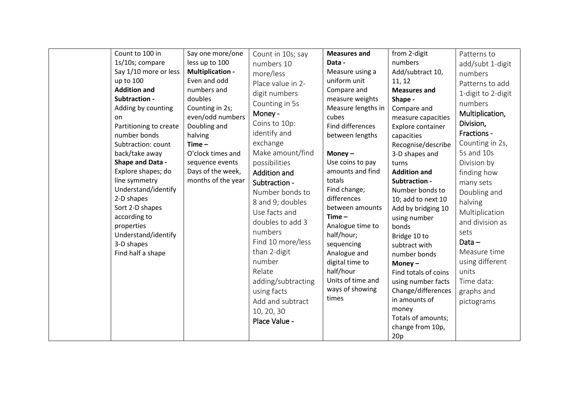| Count to 100 in<br>1s/10s; compare<br>Say 1/10 more or less<br>up to 100<br><b>Addition and</b><br>Subtraction -<br>Adding by counting<br>on.<br>Partitioning to create<br>number bonds<br>Subtraction: count<br>back/take away<br>Shape and Data -<br>Explore shapes; do<br>line symmetry<br>Understand/identify<br>2-D shapes<br>Sort 2-D shapes<br>according to<br>properties<br>Understand/identify<br>3-D shapes<br>Find half a shape | Say one more/one<br>less up to 100<br><b>Multiplication -</b><br>Even and odd<br>numbers and<br>doubles<br>Counting in 2s;<br>even/odd numbers<br>Doubling and<br>halving<br>$Time -$<br>O'clock times and<br>sequence events<br>Days of the week,<br>months of the year | Count in 10s; say<br>numbers 10<br>more/less<br>Place value in 2-<br>digit numbers<br>Counting in 5s<br>Money -<br>Coins to 10p:<br>identify and<br>exchange<br>Make amount/find<br>possibilities<br><b>Addition and</b><br>Subtraction -<br>Number bonds to<br>8 and 9; doubles<br>Use facts and<br>doubles to add 3<br>numbers<br>Find 10 more/less<br>than 2-digit<br>number<br>Relate<br>adding/subtracting<br>using facts<br>Add and subtract<br>10, 20, 30<br>Place Value - | <b>Measures and</b><br>Data -<br>Measure using a<br>uniform unit<br>Compare and<br>measure weights<br>Measure lengths in<br>cubes<br><b>Find differences</b><br>between lengths<br>Money $-$<br>Use coins to pay<br>amounts and find<br>totals<br>Find change;<br>differences<br>between amounts<br>$Time -$<br>Analogue time to<br>half/hour;<br>sequencing<br>Analogue and<br>digital time to<br>half/hour<br>Units of time and<br>ways of showing<br>times | from 2-digit<br>numbers<br>Add/subtract 10,<br>11, 12<br><b>Measures and</b><br>Shape -<br>Compare and<br>measure capacities<br>Explore container<br>capacities<br>Recognise/describe<br>3-D shapes and<br>turns<br><b>Addition and</b><br>Subtraction -<br>Number bonds to<br>10; add to next 10<br>Add by bridging 10<br>using number<br>bonds<br>Bridge 10 to<br>subtract with<br>number bonds<br>Money $-$<br>Find totals of coins<br>using number facts<br>Change/differences<br>in amounts of<br>money<br>Totals of amounts;<br>change from 10p,<br>20p | Patterns to<br>add/subt 1-digit<br>numbers<br>Patterns to add<br>1-digit to 2-digit<br>numbers<br>Multiplication,<br>Division,<br>Fractions -<br>Counting in 2s,<br>5s and 10s<br>Division by<br>finding how<br>many sets<br>Doubling and<br>halving<br>Multiplication<br>and division as<br>sets<br>Data $-$<br>Measure time<br>using different<br>units<br>Time data:<br>graphs and<br>pictograms |
|--------------------------------------------------------------------------------------------------------------------------------------------------------------------------------------------------------------------------------------------------------------------------------------------------------------------------------------------------------------------------------------------------------------------------------------------|--------------------------------------------------------------------------------------------------------------------------------------------------------------------------------------------------------------------------------------------------------------------------|-----------------------------------------------------------------------------------------------------------------------------------------------------------------------------------------------------------------------------------------------------------------------------------------------------------------------------------------------------------------------------------------------------------------------------------------------------------------------------------|---------------------------------------------------------------------------------------------------------------------------------------------------------------------------------------------------------------------------------------------------------------------------------------------------------------------------------------------------------------------------------------------------------------------------------------------------------------|---------------------------------------------------------------------------------------------------------------------------------------------------------------------------------------------------------------------------------------------------------------------------------------------------------------------------------------------------------------------------------------------------------------------------------------------------------------------------------------------------------------------------------------------------------------|-----------------------------------------------------------------------------------------------------------------------------------------------------------------------------------------------------------------------------------------------------------------------------------------------------------------------------------------------------------------------------------------------------|
|--------------------------------------------------------------------------------------------------------------------------------------------------------------------------------------------------------------------------------------------------------------------------------------------------------------------------------------------------------------------------------------------------------------------------------------------|--------------------------------------------------------------------------------------------------------------------------------------------------------------------------------------------------------------------------------------------------------------------------|-----------------------------------------------------------------------------------------------------------------------------------------------------------------------------------------------------------------------------------------------------------------------------------------------------------------------------------------------------------------------------------------------------------------------------------------------------------------------------------|---------------------------------------------------------------------------------------------------------------------------------------------------------------------------------------------------------------------------------------------------------------------------------------------------------------------------------------------------------------------------------------------------------------------------------------------------------------|---------------------------------------------------------------------------------------------------------------------------------------------------------------------------------------------------------------------------------------------------------------------------------------------------------------------------------------------------------------------------------------------------------------------------------------------------------------------------------------------------------------------------------------------------------------|-----------------------------------------------------------------------------------------------------------------------------------------------------------------------------------------------------------------------------------------------------------------------------------------------------------------------------------------------------------------------------------------------------|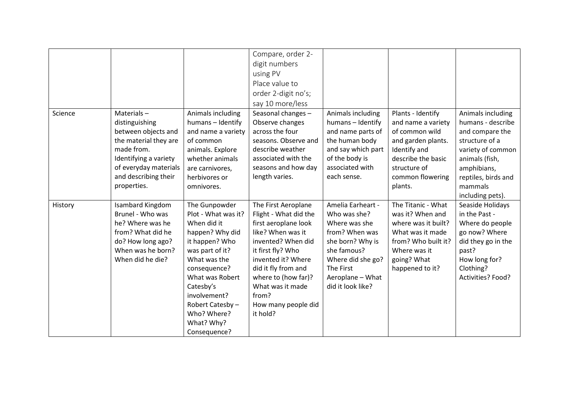|         |                       |                     | Compare, order 2-     |                    |                     |                     |
|---------|-----------------------|---------------------|-----------------------|--------------------|---------------------|---------------------|
|         |                       |                     | digit numbers         |                    |                     |                     |
|         |                       |                     | using PV              |                    |                     |                     |
|         |                       |                     | Place value to        |                    |                     |                     |
|         |                       |                     | order 2-digit no's;   |                    |                     |                     |
|         |                       |                     | say 10 more/less      |                    |                     |                     |
| Science | Materials $-$         | Animals including   | Seasonal changes -    | Animals including  | Plants - Identify   | Animals including   |
|         | distinguishing        | humans - Identify   | Observe changes       | humans - Identify  | and name a variety  | humans - describe   |
|         | between objects and   | and name a variety  | across the four       | and name parts of  | of common wild      | and compare the     |
|         | the material they are | of common           | seasons. Observe and  | the human body     | and garden plants.  | structure of a      |
|         | made from.            | animals. Explore    | describe weather      | and say which part | Identify and        | variety of common   |
|         | Identifying a variety | whether animals     | associated with the   | of the body is     | describe the basic  | animals (fish,      |
|         | of everyday materials | are carnivores,     | seasons and how day   | associated with    | structure of        | amphibians,         |
|         | and describing their  | herbivores or       | length varies.        | each sense.        | common flowering    | reptiles, birds and |
|         | properties.           | omnivores.          |                       |                    | plants.             | mammals             |
|         |                       |                     |                       |                    |                     | including pets).    |
| History | Isambard Kingdom      | The Gunpowder       | The First Aeroplane   | Amelia Earheart -  | The Titanic - What  | Seaside Holidays    |
|         | Brunel - Who was      | Plot - What was it? | Flight - What did the | Who was she?       | was it? When and    | in the Past -       |
|         | he? Where was he      | When did it         | first aeroplane look  | Where was she      | where was it built? | Where do people     |
|         | from? What did he     | happen? Why did     | like? When was it     | from? When was     | What was it made    | go now? Where       |
|         | do? How long ago?     | it happen? Who      | invented? When did    | she born? Why is   | from? Who built it? | did they go in the  |
|         | When was he born?     | was part of it?     | it first fly? Who     | she famous?        | Where was it        | past?               |
|         | When did he die?      | What was the        | invented it? Where    | Where did she go?  | going? What         | How long for?       |
|         |                       | consequence?        | did it fly from and   | The First          | happened to it?     | Clothing?           |
|         |                       | What was Robert     | where to (how far)?   | Aeroplane - What   |                     | Activities? Food?   |
|         |                       | Catesby's           | What was it made      | did it look like?  |                     |                     |
|         |                       | involvement?        | from?                 |                    |                     |                     |
|         |                       | Robert Catesby -    | How many people did   |                    |                     |                     |
|         |                       | Who? Where?         | it hold?              |                    |                     |                     |
|         |                       | What? Why?          |                       |                    |                     |                     |
|         |                       | Consequence?        |                       |                    |                     |                     |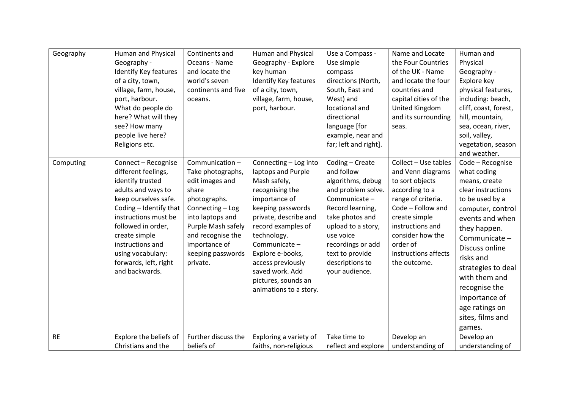| Geography | Human and Physical<br>Geography -<br>Identify Key features<br>of a city, town,<br>village, farm, house,<br>port, harbour.<br>What do people do<br>here? What will they<br>see? How many<br>people live here?<br>Religions etc.                                                            | Continents and<br>Oceans - Name<br>and locate the<br>world's seven<br>continents and five<br>oceans.                                                                                                                 | Human and Physical<br>Geography - Explore<br>key human<br>Identify Key features<br>of a city, town,<br>village, farm, house,<br>port, harbour.                                                                                                                                                                   | Use a Compass -<br>Use simple<br>compass<br>directions (North,<br>South, East and<br>West) and<br>locational and<br>directional<br>language [for<br>example, near and<br>far; left and right].                                                   | Name and Locate<br>the Four Countries<br>of the UK - Name<br>and locate the four<br>countries and<br>capital cities of the<br>United Kingdom<br>and its surrounding<br>seas.                                                           | Human and<br>Physical<br>Geography -<br>Explore key<br>physical features,<br>including: beach,<br>cliff, coast, forest,<br>hill, mountain,<br>sea, ocean, river,<br>soil, valley,<br>vegetation, season<br>and weather.                                                                                                    |
|-----------|-------------------------------------------------------------------------------------------------------------------------------------------------------------------------------------------------------------------------------------------------------------------------------------------|----------------------------------------------------------------------------------------------------------------------------------------------------------------------------------------------------------------------|------------------------------------------------------------------------------------------------------------------------------------------------------------------------------------------------------------------------------------------------------------------------------------------------------------------|--------------------------------------------------------------------------------------------------------------------------------------------------------------------------------------------------------------------------------------------------|----------------------------------------------------------------------------------------------------------------------------------------------------------------------------------------------------------------------------------------|----------------------------------------------------------------------------------------------------------------------------------------------------------------------------------------------------------------------------------------------------------------------------------------------------------------------------|
| Computing | Connect - Recognise<br>different feelings,<br>identify trusted<br>adults and ways to<br>keep ourselves safe.<br>Coding - Identify that<br>instructions must be<br>followed in order,<br>create simple<br>instructions and<br>using vocabulary:<br>forwards, left, right<br>and backwards. | Communication-<br>Take photographs,<br>edit images and<br>share<br>photographs.<br>Connecting - Log<br>into laptops and<br>Purple Mash safely<br>and recognise the<br>importance of<br>keeping passwords<br>private. | Connecting - Log into<br>laptops and Purple<br>Mash safely,<br>recognising the<br>importance of<br>keeping passwords<br>private, describe and<br>record examples of<br>technology.<br>Communicate -<br>Explore e-books,<br>access previously<br>saved work. Add<br>pictures, sounds an<br>animations to a story. | Coding - Create<br>and follow<br>algorithms, debug<br>and problem solve.<br>Communicate -<br>Record learning,<br>take photos and<br>upload to a story,<br>use voice<br>recordings or add<br>text to provide<br>descriptions to<br>your audience. | Collect - Use tables<br>and Venn diagrams<br>to sort objects<br>according to a<br>range of criteria.<br>Code - Follow and<br>create simple<br>instructions and<br>consider how the<br>order of<br>instructions affects<br>the outcome. | Code - Recognise<br>what coding<br>means, create<br>clear instructions<br>to be used by a<br>computer, control<br>events and when<br>they happen.<br>Communicate -<br>Discuss online<br>risks and<br>strategies to deal<br>with them and<br>recognise the<br>importance of<br>age ratings on<br>sites, films and<br>games. |
| <b>RE</b> | Explore the beliefs of<br>Christians and the                                                                                                                                                                                                                                              | Further discuss the<br>beliefs of                                                                                                                                                                                    | Exploring a variety of<br>faiths, non-religious                                                                                                                                                                                                                                                                  | Take time to<br>reflect and explore                                                                                                                                                                                                              | Develop an<br>understanding of                                                                                                                                                                                                         | Develop an<br>understanding of                                                                                                                                                                                                                                                                                             |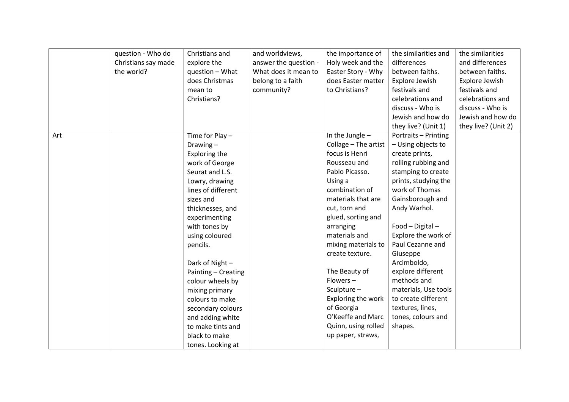|     | question - Who do   | Christians and       | and worldviews,       | the importance of    | the similarities and | the similarities    |
|-----|---------------------|----------------------|-----------------------|----------------------|----------------------|---------------------|
|     | Christians say made | explore the          | answer the question - | Holy week and the    | differences          | and differences     |
|     | the world?          | question - What      | What does it mean to  | Easter Story - Why   | between faiths.      | between faiths.     |
|     |                     | does Christmas       | belong to a faith     | does Easter matter   | Explore Jewish       | Explore Jewish      |
|     |                     | mean to              | community?            | to Christians?       | festivals and        | festivals and       |
|     |                     | Christians?          |                       |                      | celebrations and     | celebrations and    |
|     |                     |                      |                       |                      | discuss - Who is     | discuss - Who is    |
|     |                     |                      |                       |                      | Jewish and how do    | Jewish and how do   |
|     |                     |                      |                       |                      | they live? (Unit 1)  | they live? (Unit 2) |
| Art |                     | Time for Play $-$    |                       | In the Jungle $-$    | Portraits - Printing |                     |
|     |                     | Drawing $-$          |                       | Collage - The artist | - Using objects to   |                     |
|     |                     | <b>Exploring the</b> |                       | focus is Henri       | create prints,       |                     |
|     |                     | work of George       |                       | Rousseau and         | rolling rubbing and  |                     |
|     |                     | Seurat and L.S.      |                       | Pablo Picasso.       | stamping to create   |                     |
|     |                     | Lowry, drawing       |                       | Using a              | prints, studying the |                     |
|     |                     | lines of different   |                       | combination of       | work of Thomas       |                     |
|     |                     | sizes and            |                       | materials that are   | Gainsborough and     |                     |
|     |                     | thicknesses, and     |                       | cut, torn and        | Andy Warhol.         |                     |
|     |                     | experimenting        |                       | glued, sorting and   |                      |                     |
|     |                     | with tones by        |                       | arranging            | Food - Digital -     |                     |
|     |                     | using coloured       |                       | materials and        | Explore the work of  |                     |
|     |                     | pencils.             |                       | mixing materials to  | Paul Cezanne and     |                     |
|     |                     |                      |                       | create texture.      | Giuseppe             |                     |
|     |                     | Dark of Night-       |                       |                      | Arcimboldo,          |                     |
|     |                     | Painting - Creating  |                       | The Beauty of        | explore different    |                     |
|     |                     | colour wheels by     |                       | $Flowers -$          | methods and          |                     |
|     |                     | mixing primary       |                       | Sculpture -          | materials, Use tools |                     |
|     |                     | colours to make      |                       | Exploring the work   | to create different  |                     |
|     |                     | secondary colours    |                       | of Georgia           | textures, lines,     |                     |
|     |                     | and adding white     |                       | O'Keeffe and Marc    | tones, colours and   |                     |
|     |                     | to make tints and    |                       | Quinn, using rolled  | shapes.              |                     |
|     |                     | black to make        |                       | up paper, straws,    |                      |                     |
|     |                     | tones. Looking at    |                       |                      |                      |                     |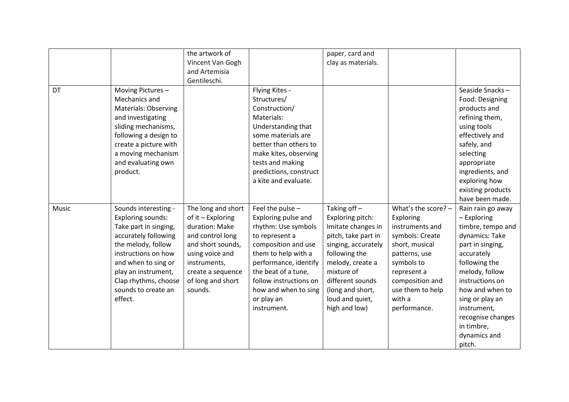|       |                             | the artwork of     |                        | paper, card and     |                     |                   |
|-------|-----------------------------|--------------------|------------------------|---------------------|---------------------|-------------------|
|       |                             | Vincent Van Gogh   |                        | clay as materials.  |                     |                   |
|       |                             | and Artemisia      |                        |                     |                     |                   |
|       |                             | Gentileschi.       |                        |                     |                     |                   |
| DT    | Moving Pictures-            |                    | Flying Kites -         |                     |                     | Seaside Snacks-   |
|       | Mechanics and               |                    | Structures/            |                     |                     | Food: Designing   |
|       | <b>Materials: Observing</b> |                    | Construction/          |                     |                     | products and      |
|       | and investigating           |                    | Materials:             |                     |                     | refining them,    |
|       | sliding mechanisms,         |                    | Understanding that     |                     |                     | using tools       |
|       | following a design to       |                    | some materials are     |                     |                     | effectively and   |
|       | create a picture with       |                    | better than others to  |                     |                     | safely, and       |
|       | a moving mechanism          |                    | make kites, observing  |                     |                     | selecting         |
|       | and evaluating own          |                    | tests and making       |                     |                     | appropriate       |
|       | product.                    |                    | predictions, construct |                     |                     | ingredients, and  |
|       |                             |                    | a kite and evaluate.   |                     |                     | exploring how     |
|       |                             |                    |                        |                     |                     | existing products |
|       |                             |                    |                        |                     |                     | have been made.   |
| Music | Sounds interesting -        | The long and short | Feel the pulse -       | Taking off-         | What's the score? - | Rain rain go away |
|       | <b>Exploring sounds:</b>    | of it - Exploring  | Exploring pulse and    | Exploring pitch:    | Exploring           | - Exploring       |
|       | Take part in singing,       | duration: Make     | rhythm: Use symbols    | Imitate changes in  | instruments and     | timbre, tempo and |
|       | accurately following        | and control long   | to represent a         | pitch, take part in | symbols: Create     | dynamics: Take    |
|       | the melody, follow          | and short sounds,  | composition and use    | singing, accurately | short, musical      | part in singing,  |
|       | instructions on how         | using voice and    | them to help with a    | following the       | patterns, use       | accurately        |
|       | and when to sing or         | instruments,       | performance, identify  | melody, create a    | symbols to          | following the     |
|       | play an instrument,         | create a sequence  | the beat of a tune,    | mixture of          | represent a         | melody, follow    |
|       | Clap rhythms, choose        | of long and short  | follow instructions on | different sounds    | composition and     | instructions on   |
|       | sounds to create an         | sounds.            | how and when to sing   | (long and short,    | use them to help    | how and when to   |
|       | effect.                     |                    | or play an             | loud and quiet,     | with a              | sing or play an   |
|       |                             |                    | instrument.            | high and low)       | performance.        | instrument,       |
|       |                             |                    |                        |                     |                     | recognise changes |
|       |                             |                    |                        |                     |                     | in timbre,        |
|       |                             |                    |                        |                     |                     | dynamics and      |
|       |                             |                    |                        |                     |                     | pitch.            |